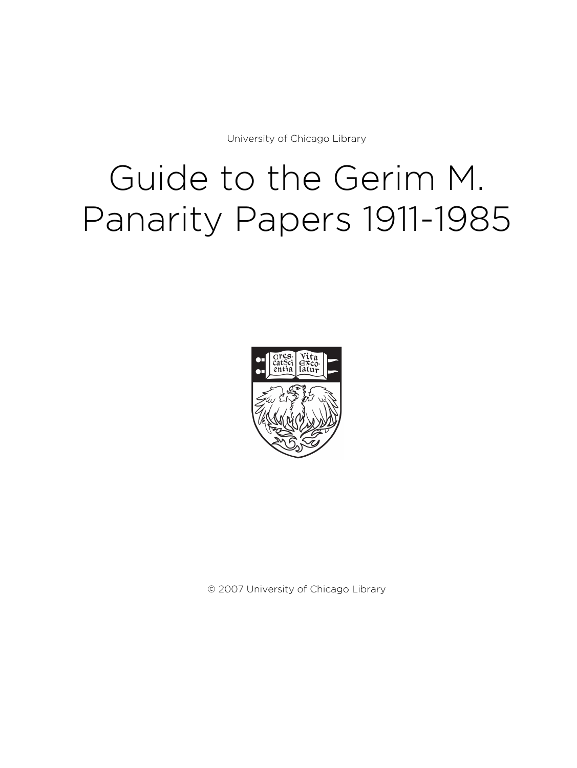University of Chicago Library

# Guide to the Gerim M. Panarity Papers 1911-1985



© 2007 University of Chicago Library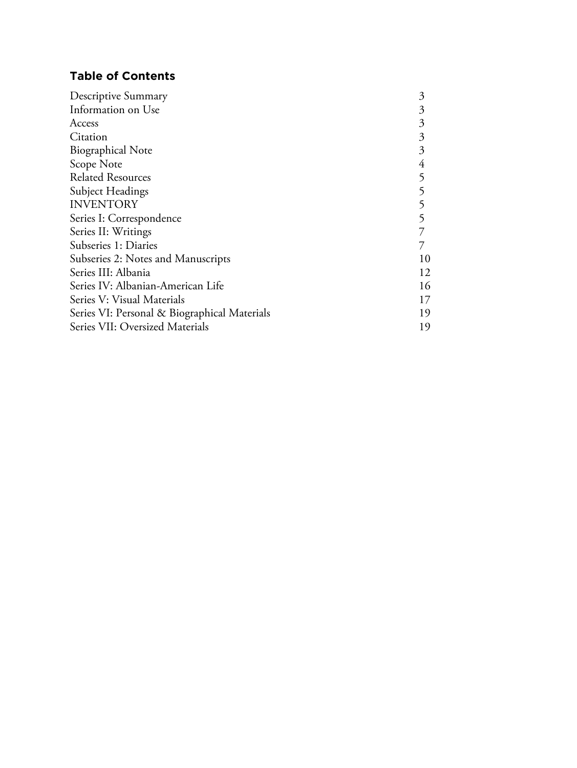# **Table of Contents**

| Descriptive Summary                          | 3  |
|----------------------------------------------|----|
| Information on Use                           | 3  |
| Access                                       | 3  |
| Citation                                     | 3  |
| <b>Biographical Note</b>                     | 3  |
| Scope Note                                   | 4  |
| <b>Related Resources</b>                     |    |
| Subject Headings                             |    |
| <b>INVENTORY</b>                             |    |
| Series I: Correspondence                     |    |
| Series II: Writings                          |    |
| Subseries 1: Diaries                         |    |
| Subseries 2: Notes and Manuscripts           | 10 |
| Series III: Albania                          | 12 |
| Series IV: Albanian-American Life            | 16 |
| Series V: Visual Materials                   | 17 |
| Series VI: Personal & Biographical Materials | 19 |
| Series VII: Oversized Materials              | 19 |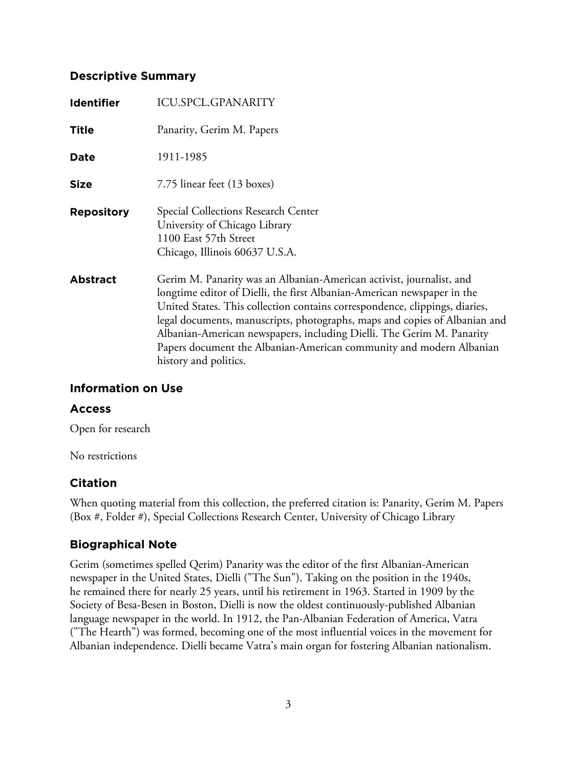# **Descriptive Summary**

| <b>Identifier</b> | <b>ICU.SPCL.GPANARITY</b>                                                                                                                                                                                                                                                                                                                                                                                                                                                             |
|-------------------|---------------------------------------------------------------------------------------------------------------------------------------------------------------------------------------------------------------------------------------------------------------------------------------------------------------------------------------------------------------------------------------------------------------------------------------------------------------------------------------|
| <b>Title</b>      | Panarity, Gerim M. Papers                                                                                                                                                                                                                                                                                                                                                                                                                                                             |
| Date              | 1911-1985                                                                                                                                                                                                                                                                                                                                                                                                                                                                             |
| <b>Size</b>       | 7.75 linear feet (13 boxes)                                                                                                                                                                                                                                                                                                                                                                                                                                                           |
| <b>Repository</b> | <b>Special Collections Research Center</b><br>University of Chicago Library<br>1100 East 57th Street<br>Chicago, Illinois 60637 U.S.A.                                                                                                                                                                                                                                                                                                                                                |
| <b>Abstract</b>   | Gerim M. Panarity was an Albanian-American activist, journalist, and<br>longtime editor of Dielli, the first Albanian-American newspaper in the<br>United States. This collection contains correspondence, clippings, diaries,<br>legal documents, manuscripts, photographs, maps and copies of Albanian and<br>Albanian-American newspapers, including Dielli. The Gerim M. Panarity<br>Papers document the Albanian-American community and modern Albanian<br>history and politics. |

# **Information on Use**

# **Access**

Open for research

No restrictions

# **Citation**

When quoting material from this collection, the preferred citation is: Panarity, Gerim M. Papers (Box #, Folder #), Special Collections Research Center, University of Chicago Library

# **Biographical Note**

Gerim (sometimes spelled Qerim) Panarity was the editor of the first Albanian-American newspaper in the United States, Dielli ("The Sun"). Taking on the position in the 1940s, he remained there for nearly 25 years, until his retirement in 1963. Started in 1909 by the Society of Besa-Besen in Boston, Dielli is now the oldest continuously-published Albanian language newspaper in the world. In 1912, the Pan-Albanian Federation of America, Vatra ("The Hearth") was formed, becoming one of the most influential voices in the movement for Albanian independence. Dielli became Vatra's main organ for fostering Albanian nationalism.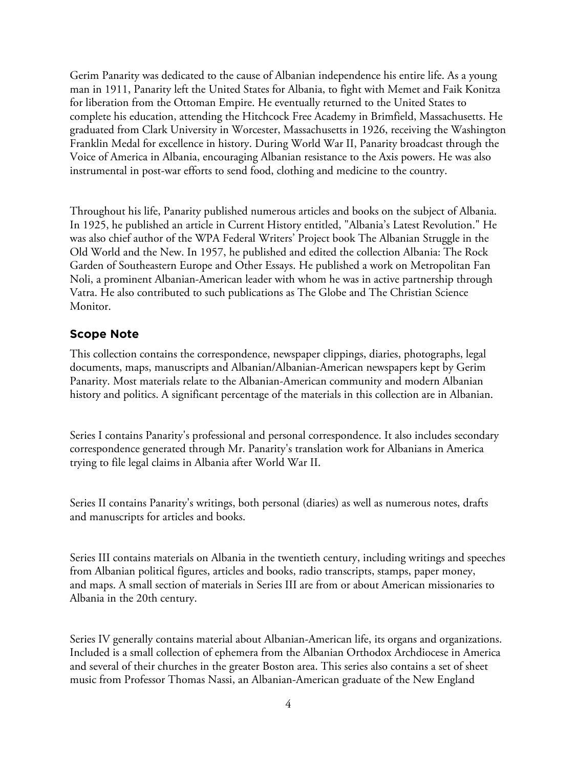Gerim Panarity was dedicated to the cause of Albanian independence his entire life. As a young man in 1911, Panarity left the United States for Albania, to fight with Memet and Faik Konitza for liberation from the Ottoman Empire. He eventually returned to the United States to complete his education, attending the Hitchcock Free Academy in Brimfield, Massachusetts. He graduated from Clark University in Worcester, Massachusetts in 1926, receiving the Washington Franklin Medal for excellence in history. During World War II, Panarity broadcast through the Voice of America in Albania, encouraging Albanian resistance to the Axis powers. He was also instrumental in post-war efforts to send food, clothing and medicine to the country.

Throughout his life, Panarity published numerous articles and books on the subject of Albania. In 1925, he published an article in Current History entitled, "Albania's Latest Revolution." He was also chief author of the WPA Federal Writers' Project book The Albanian Struggle in the Old World and the New. In 1957, he published and edited the collection Albania: The Rock Garden of Southeastern Europe and Other Essays. He published a work on Metropolitan Fan Noli, a prominent Albanian-American leader with whom he was in active partnership through Vatra. He also contributed to such publications as The Globe and The Christian Science Monitor.

### **Scope Note**

This collection contains the correspondence, newspaper clippings, diaries, photographs, legal documents, maps, manuscripts and Albanian/Albanian-American newspapers kept by Gerim Panarity. Most materials relate to the Albanian-American community and modern Albanian history and politics. A significant percentage of the materials in this collection are in Albanian.

Series I contains Panarity's professional and personal correspondence. It also includes secondary correspondence generated through Mr. Panarity's translation work for Albanians in America trying to file legal claims in Albania after World War II.

Series II contains Panarity's writings, both personal (diaries) as well as numerous notes, drafts and manuscripts for articles and books.

Series III contains materials on Albania in the twentieth century, including writings and speeches from Albanian political figures, articles and books, radio transcripts, stamps, paper money, and maps. A small section of materials in Series III are from or about American missionaries to Albania in the 20th century.

Series IV generally contains material about Albanian-American life, its organs and organizations. Included is a small collection of ephemera from the Albanian Orthodox Archdiocese in America and several of their churches in the greater Boston area. This series also contains a set of sheet music from Professor Thomas Nassi, an Albanian-American graduate of the New England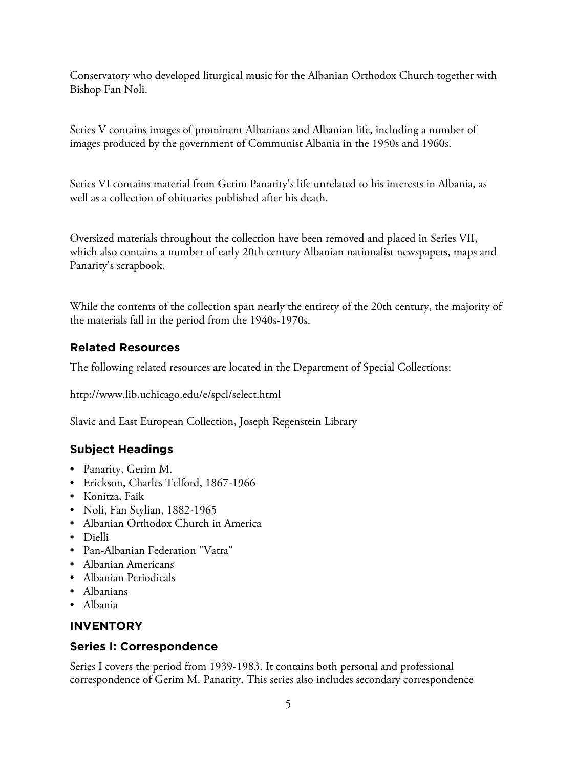Conservatory who developed liturgical music for the Albanian Orthodox Church together with Bishop Fan Noli.

Series V contains images of prominent Albanians and Albanian life, including a number of images produced by the government of Communist Albania in the 1950s and 1960s.

Series VI contains material from Gerim Panarity's life unrelated to his interests in Albania, as well as a collection of obituaries published after his death.

Oversized materials throughout the collection have been removed and placed in Series VII, which also contains a number of early 20th century Albanian nationalist newspapers, maps and Panarity's scrapbook.

While the contents of the collection span nearly the entirety of the 20th century, the majority of the materials fall in the period from the 1940s-1970s.

# **Related Resources**

The following related resources are located in the Department of Special Collections:

http://www.lib.uchicago.edu/e/spcl/select.html

Slavic and East European Collection, Joseph Regenstein Library

# **Subject Headings**

- Panarity, Gerim M.
- Erickson, Charles Telford, 1867-1966
- Konitza, Faik
- Noli, Fan Stylian, 1882-1965
- Albanian Orthodox Church in America
- Dielli
- Pan-Albanian Federation "Vatra"
- Albanian Americans
- Albanian Periodicals
- Albanians
- Albania

# **INVENTORY**

# **Series I: Correspondence**

Series I covers the period from 1939-1983. It contains both personal and professional correspondence of Gerim M. Panarity. This series also includes secondary correspondence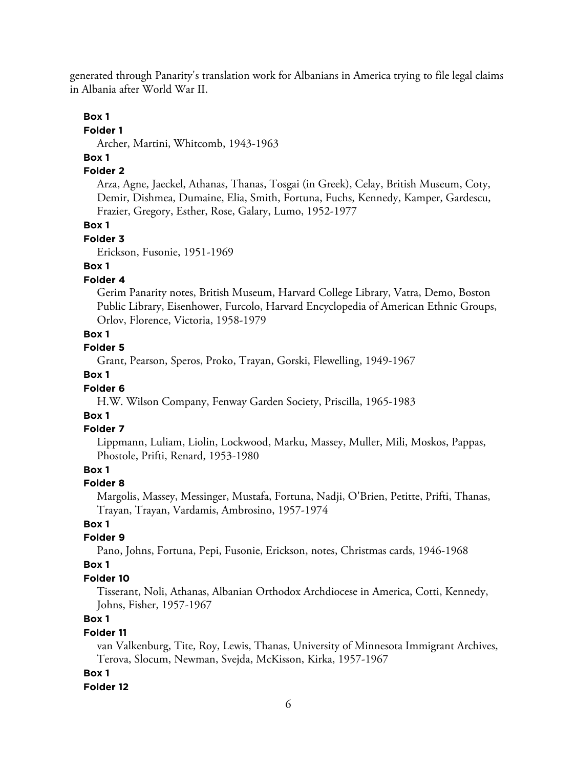generated through Panarity's translation work for Albanians in America trying to file legal claims in Albania after World War II.

#### **Box 1**

#### **Folder 1**

Archer, Martini, Whitcomb, 1943-1963

# **Box 1**

### **Folder 2**

Arza, Agne, Jaeckel, Athanas, Thanas, Tosgai (in Greek), Celay, British Museum, Coty, Demir, Dishmea, Dumaine, Elia, Smith, Fortuna, Fuchs, Kennedy, Kamper, Gardescu, Frazier, Gregory, Esther, Rose, Galary, Lumo, 1952-1977

### **Box 1**

#### **Folder 3**

Erickson, Fusonie, 1951-1969

# **Box 1**

### **Folder 4**

Gerim Panarity notes, British Museum, Harvard College Library, Vatra, Demo, Boston Public Library, Eisenhower, Furcolo, Harvard Encyclopedia of American Ethnic Groups, Orlov, Florence, Victoria, 1958-1979

### **Box 1**

### **Folder 5**

Grant, Pearson, Speros, Proko, Trayan, Gorski, Flewelling, 1949-1967

### **Box 1**

### **Folder 6**

H.W. Wilson Company, Fenway Garden Society, Priscilla, 1965-1983

### **Box 1**

### **Folder 7**

Lippmann, Luliam, Liolin, Lockwood, Marku, Massey, Muller, Mili, Moskos, Pappas, Phostole, Prifti, Renard, 1953-1980

# **Box 1**

### **Folder 8**

Margolis, Massey, Messinger, Mustafa, Fortuna, Nadji, O'Brien, Petitte, Prifti, Thanas, Trayan, Trayan, Vardamis, Ambrosino, 1957-1974

### **Box 1**

# **Folder 9**

Pano, Johns, Fortuna, Pepi, Fusonie, Erickson, notes, Christmas cards, 1946-1968

### **Box 1**

### **Folder 10**

Tisserant, Noli, Athanas, Albanian Orthodox Archdiocese in America, Cotti, Kennedy, Johns, Fisher, 1957-1967

# **Box 1**

### **Folder 11**

van Valkenburg, Tite, Roy, Lewis, Thanas, University of Minnesota Immigrant Archives, Terova, Slocum, Newman, Svejda, McKisson, Kirka, 1957-1967

### **Box 1**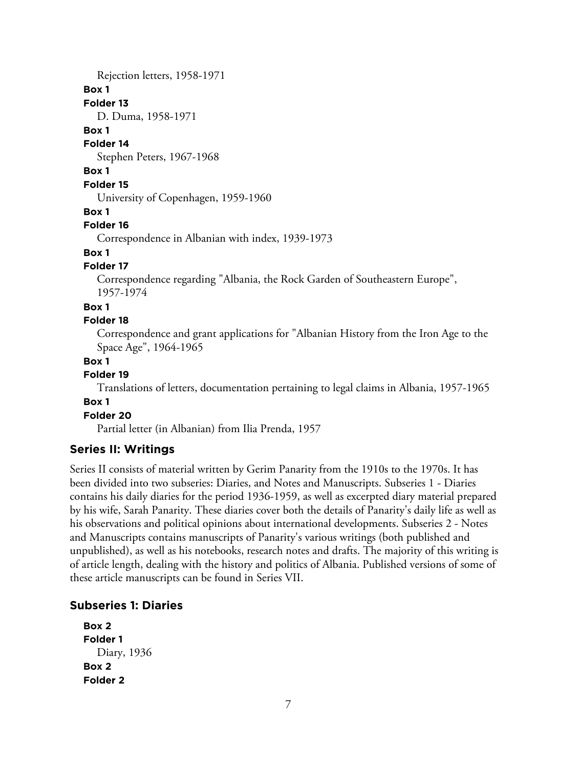Rejection letters, 1958-1971

### **Box 1**

**Folder 13**

D. Duma, 1958-1971

#### **Box 1**

**Folder 14**

Stephen Peters, 1967-1968

### **Box 1**

**Folder 15**

University of Copenhagen, 1959-1960

### **Box 1**

### **Folder 16**

Correspondence in Albanian with index, 1939-1973

# **Box 1**

### **Folder 17**

Correspondence regarding "Albania, the Rock Garden of Southeastern Europe", 1957-1974

### **Box 1**

### **Folder 18**

Correspondence and grant applications for "Albanian History from the Iron Age to the Space Age", 1964-1965

### **Box 1**

### **Folder 19**

Translations of letters, documentation pertaining to legal claims in Albania, 1957-1965

### **Box 1**

# **Folder 20**

Partial letter (in Albanian) from Ilia Prenda, 1957

# **Series II: Writings**

Series II consists of material written by Gerim Panarity from the 1910s to the 1970s. It has been divided into two subseries: Diaries, and Notes and Manuscripts. Subseries 1 - Diaries contains his daily diaries for the period 1936-1959, as well as excerpted diary material prepared by his wife, Sarah Panarity. These diaries cover both the details of Panarity's daily life as well as his observations and political opinions about international developments. Subseries 2 - Notes and Manuscripts contains manuscripts of Panarity's various writings (both published and unpublished), as well as his notebooks, research notes and drafts. The majority of this writing is of article length, dealing with the history and politics of Albania. Published versions of some of these article manuscripts can be found in Series VII.

### **Subseries 1: Diaries**

```
Box 2
Folder 1
  Diary, 1936
Box 2
Folder 2
```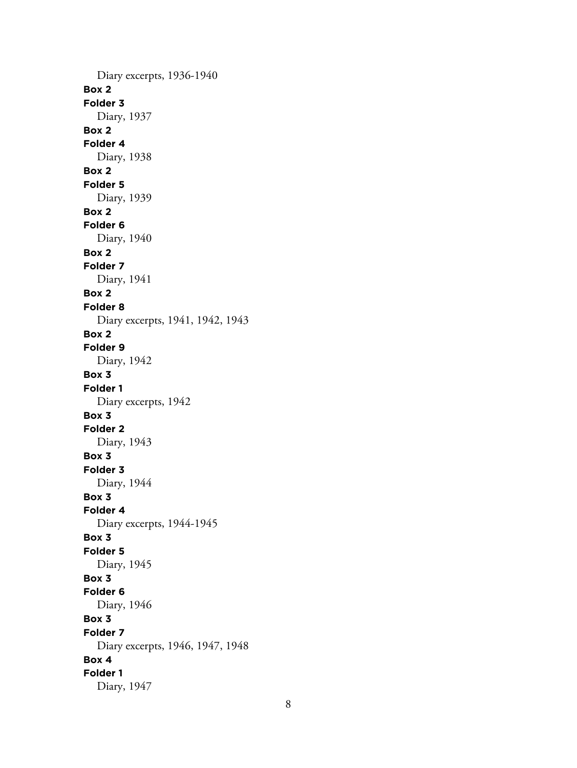Diary excerpts, 1936-1940 **Box 2 Folder 3** Diary, 1937 **Box 2 Folder 4** Diary, 1938 **Box 2 Folder 5** Diary, 1939 **Box 2 Folder 6** Diary, 1940 **Box 2 Folder 7** Diary, 1941 **Box 2 Folder 8** Diary excerpts, 1941, 1942, 1943 **Box 2 Folder 9** Diary, 1942 **Box 3 Folder 1** Diary excerpts, 1942 **Box 3 Folder 2** Diary, 1943 **Box 3 Folder 3** Diary, 1944 **Box 3 Folder 4** Diary excerpts, 1944-1945 **Box 3 Folder 5** Diary, 1945 **Box 3 Folder 6** Diary, 1946 **Box 3 Folder 7** Diary excerpts, 1946, 1947, 1948 **Box 4 Folder 1** Diary, 1947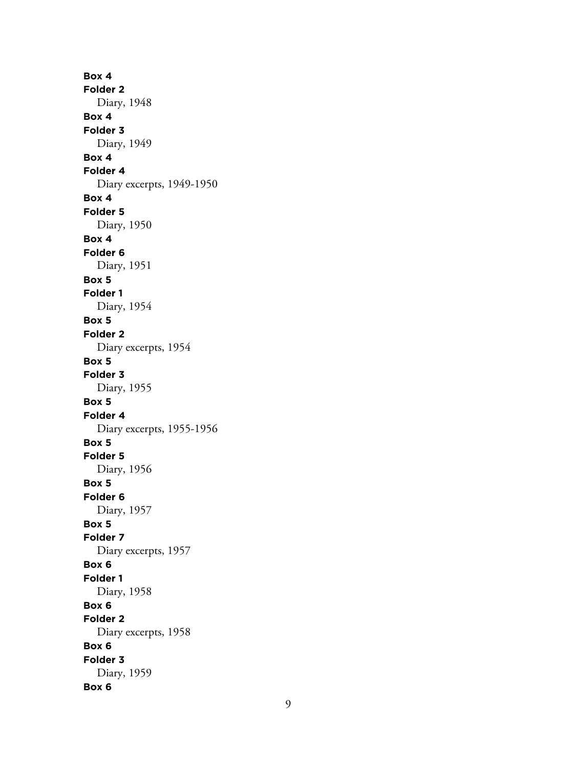**Box 4 Folder 2** Diary, 1948 **Box 4 Folder 3** Diary, 1949 **Box 4 Folder 4** Diary excerpts, 1949-1950 **Box 4 Folder 5** Diary, 1950 **Box 4 Folder 6** Diary, 1951 **Box 5 Folder 1** Diary, 1954 **Box 5 Folder 2** Diary excerpts, 1954 **Box 5 Folder 3** Diary, 1955 **Box 5 Folder 4** Diary excerpts, 1955-1956 **Box 5 Folder 5** Diary, 1956 **Box 5 Folder 6** Diary, 1957 **Box 5 Folder 7** Diary excerpts, 1957 **Box 6 Folder 1** Diary, 1958 **Box 6 Folder 2** Diary excerpts, 1958 **Box 6 Folder 3** Diary, 1959 **Box 6**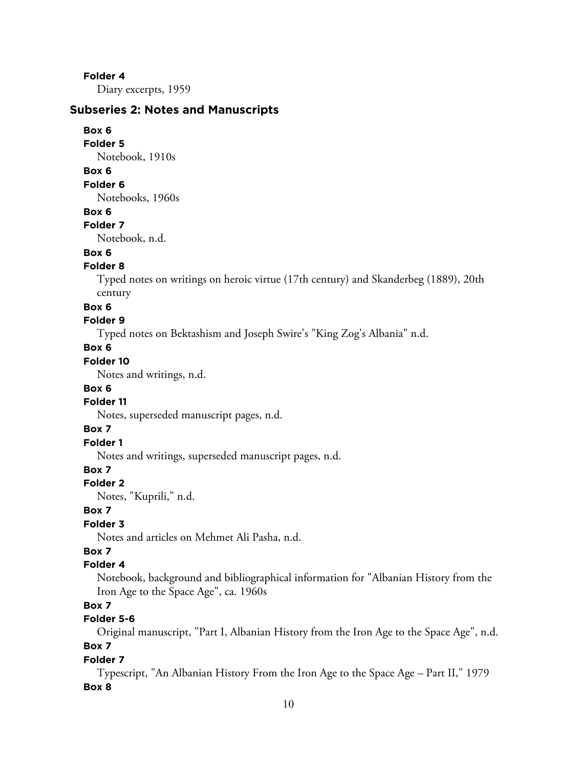### **Folder 4**

Diary excerpts, 1959

### **Subseries 2: Notes and Manuscripts**

#### **Box 6**

**Folder 5**

Notebook, 1910s

### **Box 6**

### **Folder 6**

Notebooks, 1960s

#### **Box 6**

# **Folder 7**

Notebook, n.d.

### **Box 6**

### **Folder 8**

Typed notes on writings on heroic virtue (17th century) and Skanderbeg (1889), 20th century

#### **Box 6**

# **Folder 9**

Typed notes on Bektashism and Joseph Swire's "King Zog's Albania" n.d.

### **Box 6**

# **Folder 10**

Notes and writings, n.d.

### **Box 6**

### **Folder 11**

Notes, superseded manuscript pages, n.d.

### **Box 7**

# **Folder 1**

Notes and writings, superseded manuscript pages, n.d.

# **Box 7**

### **Folder 2**

Notes, "Kuprili," n.d.

### **Box 7**

# **Folder 3**

Notes and articles on Mehmet Ali Pasha, n.d.

# **Box 7**

### **Folder 4**

Notebook, background and bibliographical information for "Albanian History from the Iron Age to the Space Age", ca. 1960s

# **Box 7**

# **Folder 5-6**

Original manuscript, "Part I, Albanian History from the Iron Age to the Space Age", n.d.

# **Box 7**

### **Folder 7**

Typescript, "An Albanian History From the Iron Age to the Space Age – Part II," 1979 **Box 8**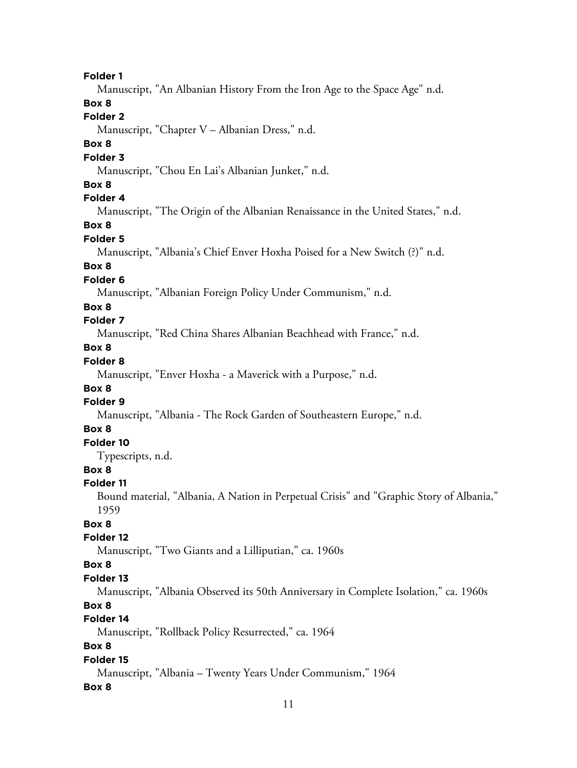#### **Folder 1**

Manuscript, "An Albanian History From the Iron Age to the Space Age" n.d.

# **Box 8**

# **Folder 2**

Manuscript, "Chapter V – Albanian Dress," n.d.

### **Box 8**

### **Folder 3**

Manuscript, "Chou En Lai's Albanian Junket," n.d.

# **Box 8**

# **Folder 4**

Manuscript, "The Origin of the Albanian Renaissance in the United States," n.d.

# **Box 8**

# **Folder 5**

Manuscript, "Albania's Chief Enver Hoxha Poised for a New Switch (?)" n.d.

# **Box 8**

# **Folder 6**

Manuscript, "Albanian Foreign Policy Under Communism," n.d.

### **Box 8**

# **Folder 7**

Manuscript, "Red China Shares Albanian Beachhead with France," n.d.

# **Box 8**

# **Folder 8**

Manuscript, "Enver Hoxha - a Maverick with a Purpose," n.d.

# **Box 8**

### **Folder 9**

Manuscript, "Albania - The Rock Garden of Southeastern Europe," n.d.

### **Box 8**

# **Folder 10**

Typescripts, n.d.

# **Box 8**

### **Folder 11**

Bound material, "Albania, A Nation in Perpetual Crisis" and "Graphic Story of Albania," 1959

### **Box 8**

### **Folder 12**

Manuscript, "Two Giants and a Lilliputian," ca. 1960s

# **Box 8**

### **Folder 13**

Manuscript, "Albania Observed its 50th Anniversary in Complete Isolation," ca. 1960s

### **Box 8**

### **Folder 14**

Manuscript, "Rollback Policy Resurrected," ca. 1964

# **Box 8**

### **Folder 15**

Manuscript, "Albania – Twenty Years Under Communism," 1964

### **Box 8**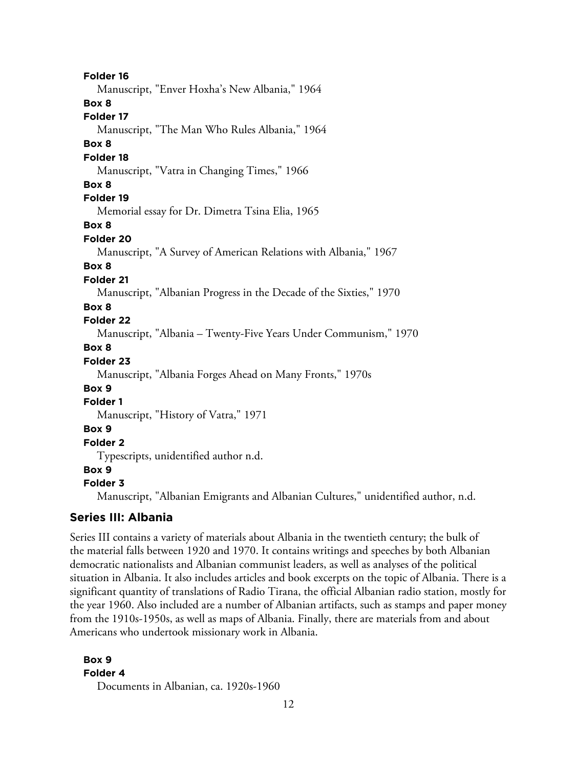**Folder 16** Manuscript, "Enver Hoxha's New Albania," 1964 **Box 8 Folder 17** Manuscript, "The Man Who Rules Albania," 1964 **Box 8 Folder 18** Manuscript, "Vatra in Changing Times," 1966 **Box 8 Folder 19** Memorial essay for Dr. Dimetra Tsina Elia, 1965 **Box 8 Folder 20** Manuscript, "A Survey of American Relations with Albania," 1967 **Box 8 Folder 21** Manuscript, "Albanian Progress in the Decade of the Sixties," 1970 **Box 8 Folder 22** Manuscript, "Albania – Twenty-Five Years Under Communism," 1970 **Box 8 Folder 23** Manuscript, "Albania Forges Ahead on Many Fronts," 1970s **Box 9 Folder 1** Manuscript, "History of Vatra," 1971 **Box 9 Folder 2** Typescripts, unidentified author n.d. **Box 9 Folder 3** Manuscript, "Albanian Emigrants and Albanian Cultures," unidentified author, n.d.

# **Series III: Albania**

Series III contains a variety of materials about Albania in the twentieth century; the bulk of the material falls between 1920 and 1970. It contains writings and speeches by both Albanian democratic nationalists and Albanian communist leaders, as well as analyses of the political situation in Albania. It also includes articles and book excerpts on the topic of Albania. There is a significant quantity of translations of Radio Tirana, the official Albanian radio station, mostly for the year 1960. Also included are a number of Albanian artifacts, such as stamps and paper money from the 1910s-1950s, as well as maps of Albania. Finally, there are materials from and about Americans who undertook missionary work in Albania.

**Box 9 Folder 4** Documents in Albanian, ca. 1920s-1960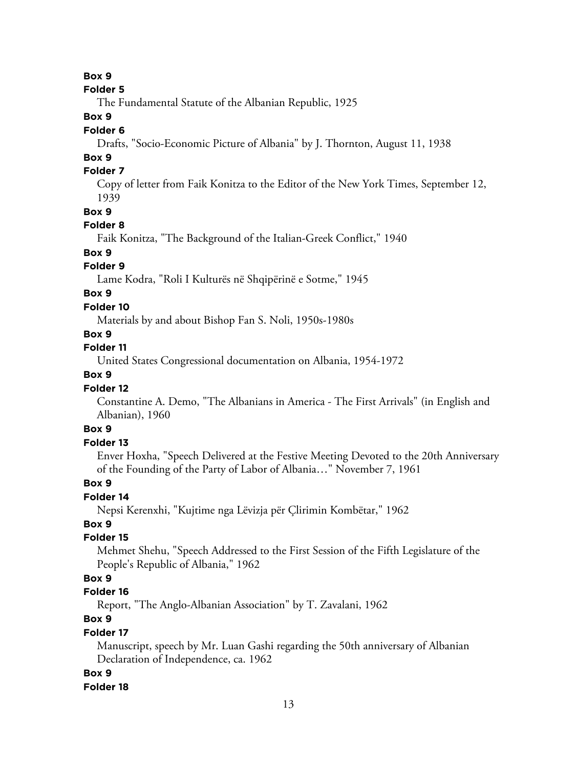**Box 9**

#### **Folder 5**

The Fundamental Statute of the Albanian Republic, 1925

# **Box 9**

### **Folder 6**

Drafts, "Socio-Economic Picture of Albania" by J. Thornton, August 11, 1938

# **Box 9**

# **Folder 7**

Copy of letter from Faik Konitza to the Editor of the New York Times, September 12, 1939

### **Box 9**

### **Folder 8**

Faik Konitza, "The Background of the Italian-Greek Conflict," 1940

# **Box 9**

# **Folder 9**

Lame Kodra, "Roli I Kulturës në Shqipërinë e Sotme," 1945

# **Box 9**

### **Folder 10**

Materials by and about Bishop Fan S. Noli, 1950s-1980s

### **Box 9**

# **Folder 11**

United States Congressional documentation on Albania, 1954-1972

# **Box 9**

### **Folder 12**

Constantine A. Demo, "The Albanians in America - The First Arrivals" (in English and Albanian), 1960

# **Box 9**

# **Folder 13**

Enver Hoxha, "Speech Delivered at the Festive Meeting Devoted to the 20th Anniversary of the Founding of the Party of Labor of Albania…" November 7, 1961

### **Box 9**

### **Folder 14**

Nepsi Kerenxhi, "Kujtime nga Lëvizja për Çlirimin Kombëtar," 1962

### **Box 9**

### **Folder 15**

Mehmet Shehu, "Speech Addressed to the First Session of the Fifth Legislature of the People's Republic of Albania," 1962

### **Box 9**

# **Folder 16**

Report, "The Anglo-Albanian Association" by T. Zavalani, 1962

# **Box 9**

### **Folder 17**

Manuscript, speech by Mr. Luan Gashi regarding the 50th anniversary of Albanian Declaration of Independence, ca. 1962

### **Box 9**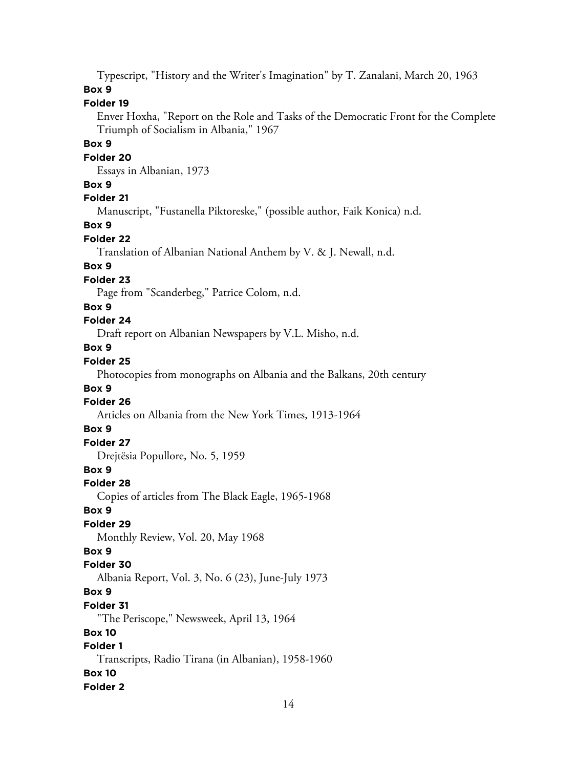Typescript, "History and the Writer's Imagination" by T. Zanalani, March 20, 1963 **Box 9**

# **Folder 19**

Enver Hoxha, "Report on the Role and Tasks of the Democratic Front for the Complete Triumph of Socialism in Albania," 1967

### **Box 9**

### **Folder 20**

Essays in Albanian, 1973

### **Box 9**

# **Folder 21**

Manuscript, "Fustanella Piktoreske," (possible author, Faik Konica) n.d.

# **Box 9**

# **Folder 22**

Translation of Albanian National Anthem by V. & J. Newall, n.d.

# **Box 9**

# **Folder 23**

Page from "Scanderbeg," Patrice Colom, n.d.

### **Box 9**

# **Folder 24**

Draft report on Albanian Newspapers by V.L. Misho, n.d.

# **Box 9**

# **Folder 25**

Photocopies from monographs on Albania and the Balkans, 20th century

### **Box 9**

# **Folder 26**

Articles on Albania from the New York Times, 1913-1964

### **Box 9**

# **Folder 27**

Drejtësia Popullore, No. 5, 1959

# **Box 9**

### **Folder 28**

Copies of articles from The Black Eagle, 1965-1968

### **Box 9**

# **Folder 29**

Monthly Review, Vol. 20, May 1968

# **Box 9**

# **Folder 30**

Albania Report, Vol. 3, No. 6 (23), June-July 1973

# **Box 9**

# **Folder 31**

"The Periscope," Newsweek, April 13, 1964

# **Box 10**

# **Folder 1**

Transcripts, Radio Tirana (in Albanian), 1958-1960 **Box 10**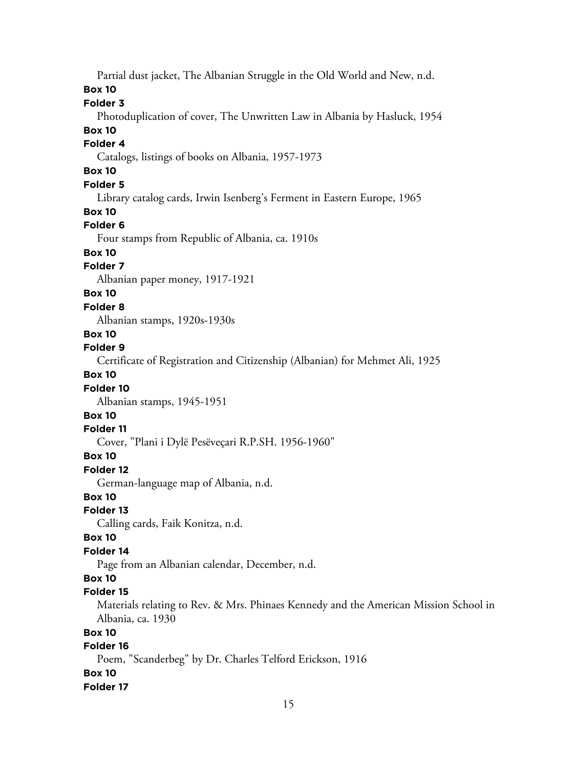Partial dust jacket, The Albanian Struggle in the Old World and New, n.d.

# **Box 10**

# **Folder 3**

Photoduplication of cover, The Unwritten Law in Albania by Hasluck, 1954

# **Box 10**

# **Folder 4**

Catalogs, listings of books on Albania, 1957-1973

# **Box 10**

# **Folder 5**

Library catalog cards, Irwin Isenberg's Ferment in Eastern Europe, 1965

### **Box 10**

# **Folder 6**

Four stamps from Republic of Albania, ca. 1910s

### **Box 10**

# **Folder 7**

Albanian paper money, 1917-1921

# **Box 10**

### **Folder 8**

Albanian stamps, 1920s-1930s

# **Box 10**

### **Folder 9**

Certificate of Registration and Citizenship (Albanian) for Mehmet Ali, 1925

# **Box 10**

# **Folder 10**

Albanian stamps, 1945-1951

# **Box 10**

### **Folder 11**

Cover, "Plani i Dylë Pesëveçari R.P.SH. 1956-1960"

# **Box 10**

# **Folder 12**

German-language map of Albania, n.d.

# **Box 10**

### **Folder 13**

Calling cards, Faik Konitza, n.d.

# **Box 10**

# **Folder 14**

Page from an Albanian calendar, December, n.d.

# **Box 10**

# **Folder 15**

Materials relating to Rev. & Mrs. Phinaes Kennedy and the American Mission School in Albania, ca. 1930

# **Box 10**

# **Folder 16**

Poem, "Scanderbeg" by Dr. Charles Telford Erickson, 1916

# **Box 10**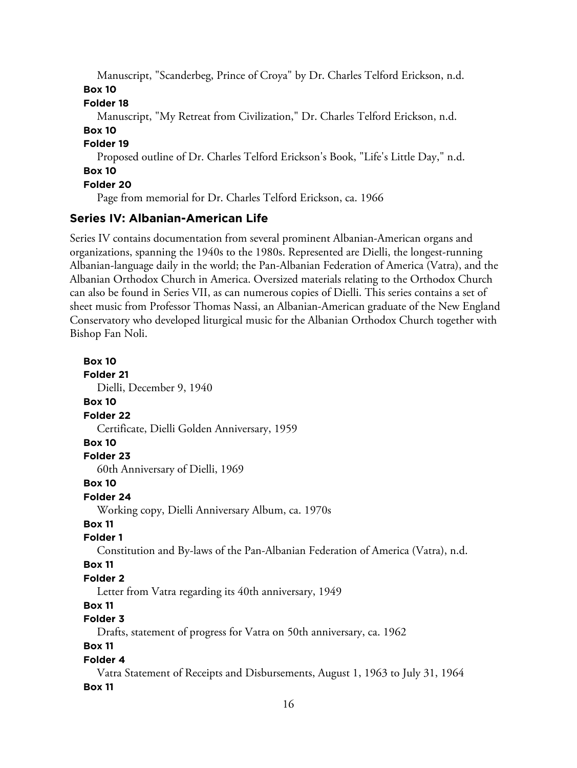Manuscript, "Scanderbeg, Prince of Croya" by Dr. Charles Telford Erickson, n.d. **Box 10**

### **Folder 18**

Manuscript, "My Retreat from Civilization," Dr. Charles Telford Erickson, n.d.

**Box 10**

**Folder 19**

Proposed outline of Dr. Charles Telford Erickson's Book, "Life's Little Day," n.d. **Box 10**

# **Folder 20**

Page from memorial for Dr. Charles Telford Erickson, ca. 1966

# **Series IV: Albanian-American Life**

Series IV contains documentation from several prominent Albanian-American organs and organizations, spanning the 1940s to the 1980s. Represented are Dielli, the longest-running Albanian-language daily in the world; the Pan-Albanian Federation of America (Vatra), and the Albanian Orthodox Church in America. Oversized materials relating to the Orthodox Church can also be found in Series VII, as can numerous copies of Dielli. This series contains a set of sheet music from Professor Thomas Nassi, an Albanian-American graduate of the New England Conservatory who developed liturgical music for the Albanian Orthodox Church together with Bishop Fan Noli.

# **Box 10 Folder 21** Dielli, December 9, 1940 **Box 10 Folder 22** Certificate, Dielli Golden Anniversary, 1959 **Box 10 Folder 23** 60th Anniversary of Dielli, 1969 **Box 10 Folder 24** Working copy, Dielli Anniversary Album, ca. 1970s **Box 11 Folder 1** Constitution and By-laws of the Pan-Albanian Federation of America (Vatra), n.d. **Box 11 Folder 2** Letter from Vatra regarding its 40th anniversary, 1949 **Box 11 Folder 3** Drafts, statement of progress for Vatra on 50th anniversary, ca. 1962 **Box 11 Folder 4** Vatra Statement of Receipts and Disbursements, August 1, 1963 to July 31, 1964

### **Box 11**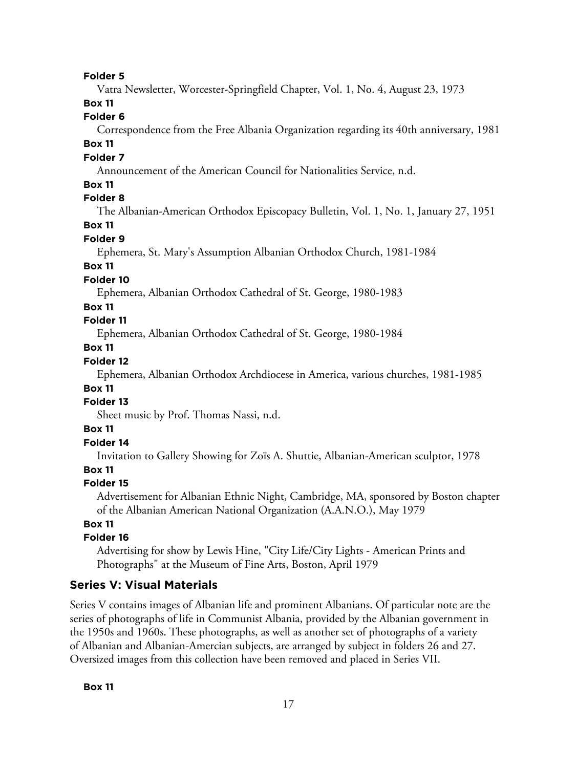#### **Folder 5**

Vatra Newsletter, Worcester-Springfield Chapter, Vol. 1, No. 4, August 23, 1973

# **Box 11**

### **Folder 6**

Correspondence from the Free Albania Organization regarding its 40th anniversary, 1981

### **Box 11**

### **Folder 7**

Announcement of the American Council for Nationalities Service, n.d.

### **Box 11**

### **Folder 8**

The Albanian-American Orthodox Episcopacy Bulletin, Vol. 1, No. 1, January 27, 1951

### **Box 11**

### **Folder 9**

Ephemera, St. Mary's Assumption Albanian Orthodox Church, 1981-1984

### **Box 11**

### **Folder 10**

Ephemera, Albanian Orthodox Cathedral of St. George, 1980-1983

### **Box 11**

### **Folder 11**

Ephemera, Albanian Orthodox Cathedral of St. George, 1980-1984

### **Box 11**

### **Folder 12**

Ephemera, Albanian Orthodox Archdiocese in America, various churches, 1981-1985

#### **Box 11**

### **Folder 13**

Sheet music by Prof. Thomas Nassi, n.d.

### **Box 11**

### **Folder 14**

Invitation to Gallery Showing for Zoïs A. Shuttie, Albanian-American sculptor, 1978

### **Box 11**

#### **Folder 15**

Advertisement for Albanian Ethnic Night, Cambridge, MA, sponsored by Boston chapter of the Albanian American National Organization (A.A.N.O.), May 1979

### **Box 11**

# **Folder 16**

Advertising for show by Lewis Hine, "City Life/City Lights - American Prints and Photographs" at the Museum of Fine Arts, Boston, April 1979

### **Series V: Visual Materials**

Series V contains images of Albanian life and prominent Albanians. Of particular note are the series of photographs of life in Communist Albania, provided by the Albanian government in the 1950s and 1960s. These photographs, as well as another set of photographs of a variety of Albanian and Albanian-Amercian subjects, are arranged by subject in folders 26 and 27. Oversized images from this collection have been removed and placed in Series VII.

#### **Box 11**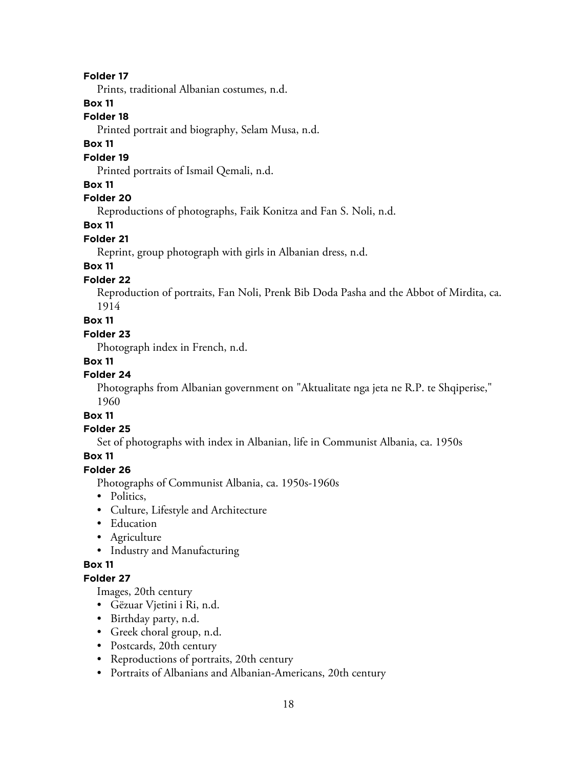### **Folder 17**

Prints, traditional Albanian costumes, n.d.

### **Box 11**

# **Folder 18**

Printed portrait and biography, Selam Musa, n.d.

### **Box 11**

#### **Folder 19**

Printed portraits of Ismail Qemali, n.d.

### **Box 11**

# **Folder 20**

Reproductions of photographs, Faik Konitza and Fan S. Noli, n.d.

### **Box 11**

### **Folder 21**

Reprint, group photograph with girls in Albanian dress, n.d.

# **Box 11**

### **Folder 22**

Reproduction of portraits, Fan Noli, Prenk Bib Doda Pasha and the Abbot of Mirdita, ca. 1914

# **Box 11**

### **Folder 23**

Photograph index in French, n.d.

### **Box 11**

### **Folder 24**

Photographs from Albanian government on "Aktualitate nga jeta ne R.P. te Shqiperise," 1960

# **Box 11**

### **Folder 25**

Set of photographs with index in Albanian, life in Communist Albania, ca. 1950s

### **Box 11**

# **Folder 26**

Photographs of Communist Albania, ca. 1950s-1960s

- Politics,
- Culture, Lifestyle and Architecture
- Education
- Agriculture
- Industry and Manufacturing

### **Box 11**

### **Folder 27**

Images, 20th century

- Gëzuar Vjetini i Ri, n.d.
- Birthday party, n.d.
- Greek choral group, n.d.
- Postcards, 20th century
- Reproductions of portraits, 20th century
- Portraits of Albanians and Albanian-Americans, 20th century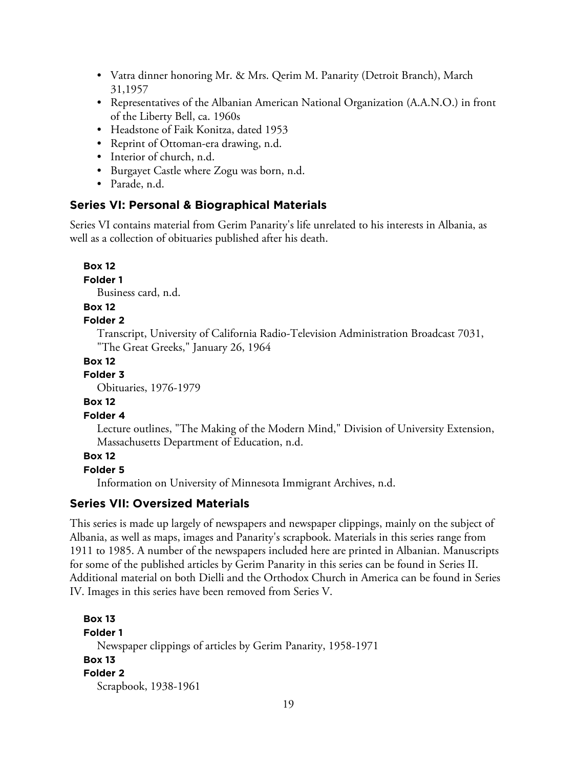- Vatra dinner honoring Mr. & Mrs. Qerim M. Panarity (Detroit Branch), March 31,1957
- Representatives of the Albanian American National Organization (A.A.N.O.) in front of the Liberty Bell, ca. 1960s
- Headstone of Faik Konitza, dated 1953
- Reprint of Ottoman-era drawing, n.d.
- Interior of church, n.d.
- Burgayet Castle where Zogu was born, n.d.
- Parade, n.d.

### **Series VI: Personal & Biographical Materials**

Series VI contains material from Gerim Panarity's life unrelated to his interests in Albania, as well as a collection of obituaries published after his death.

### **Box 12**

**Folder 1**

Business card, n.d.

### **Box 12**

### **Folder 2**

Transcript, University of California Radio-Television Administration Broadcast 7031, "The Great Greeks," January 26, 1964

### **Box 12**

**Folder 3**

Obituaries, 1976-1979

### **Box 12**

### **Folder 4**

Lecture outlines, "The Making of the Modern Mind," Division of University Extension, Massachusetts Department of Education, n.d.

- **Box 12**
- **Folder 5**

Information on University of Minnesota Immigrant Archives, n.d.

# **Series VII: Oversized Materials**

This series is made up largely of newspapers and newspaper clippings, mainly on the subject of Albania, as well as maps, images and Panarity's scrapbook. Materials in this series range from 1911 to 1985. A number of the newspapers included here are printed in Albanian. Manuscripts for some of the published articles by Gerim Panarity in this series can be found in Series II. Additional material on both Dielli and the Orthodox Church in America can be found in Series IV. Images in this series have been removed from Series V.

```
Box 13
Folder 1
  Newspaper clippings of articles by Gerim Panarity, 1958-1971
Box 13
Folder 2
  Scrapbook, 1938-1961
```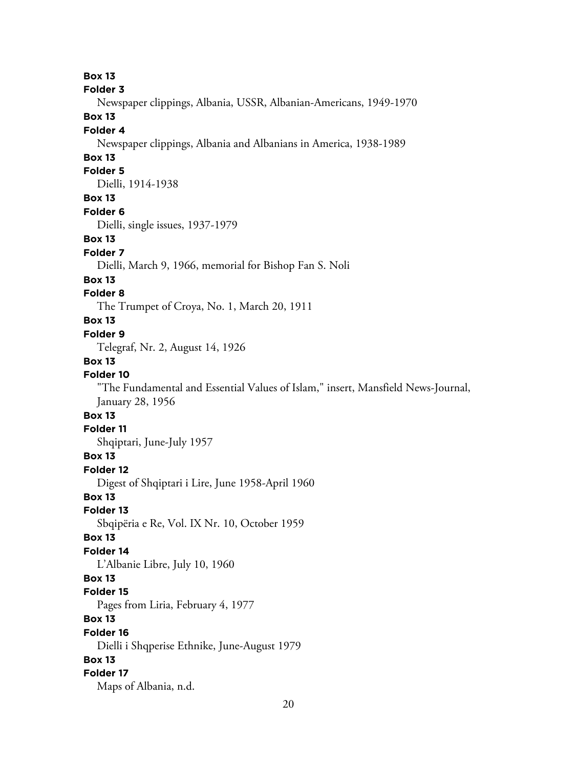**Box 13**

**Folder 3**

Newspaper clippings, Albania, USSR, Albanian-Americans, 1949-1970

# **Box 13**

### **Folder 4**

Newspaper clippings, Albania and Albanians in America, 1938-1989

# **Box 13**

# **Folder 5**

Dielli, 1914-1938

### **Box 13**

#### **Folder 6**

Dielli, single issues, 1937-1979

### **Box 13**

#### **Folder 7**

Dielli, March 9, 1966, memorial for Bishop Fan S. Noli

### **Box 13**

### **Folder 8**

The Trumpet of Croya, No. 1, March 20, 1911

### **Box 13**

### **Folder 9**

Telegraf, Nr. 2, August 14, 1926

### **Box 13**

### **Folder 10**

"The Fundamental and Essential Values of Islam," insert, Mansfield News-Journal, January 28, 1956

# **Box 13**

#### **Folder 11**

Shqiptari, June-July 1957

### **Box 13**

**Folder 12**

Digest of Shqiptari i Lire, June 1958-April 1960

# **Box 13**

#### **Folder 13**

Sbqipëria e Re, Vol. IX Nr. 10, October 1959

### **Box 13**

### **Folder 14**

L'Albanie Libre, July 10, 1960

### **Box 13**

**Folder 15**

Pages from Liria, February 4, 1977

# **Box 13**

#### **Folder 16**

Dielli i Shqperise Ethnike, June-August 1979

### **Box 13**

### **Folder 17**

Maps of Albania, n.d.